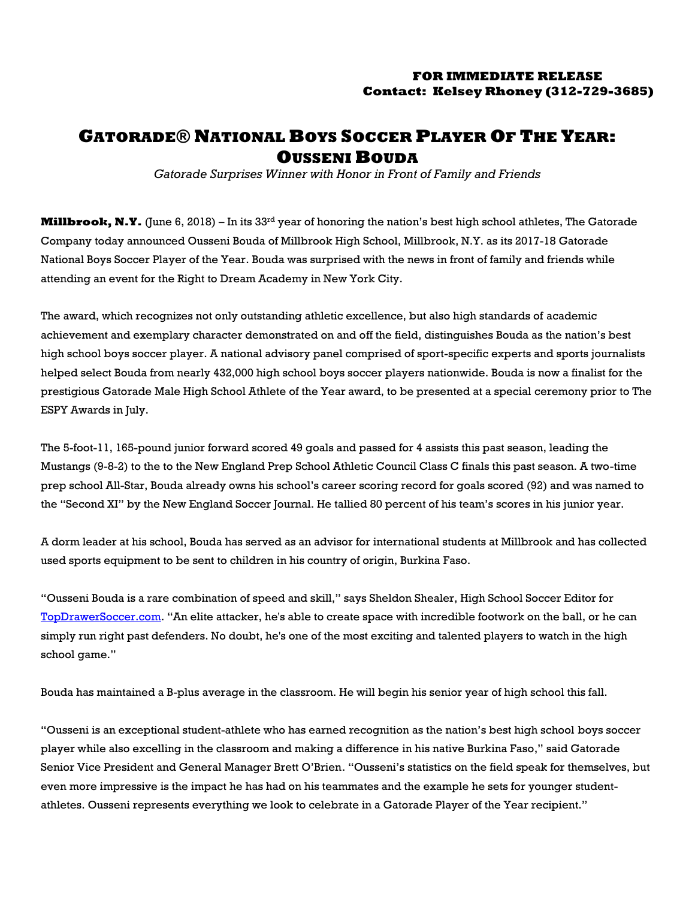## **FOR IMMEDIATE RELEASE Contact: Kelsey Rhoney (312-729-3685)**

## **GATORADE® NATIONAL BOYS SOCCER PLAYER OF THE YEAR: OUSSENI BOUDA**

*Gatorade Surprises Winner with Honor in Front of Family and Friends*

**Millbrook, N.Y.** (June 6, 2018) – In its 33<sup>rd</sup> year of honoring the nation's best high school athletes, The Gatorade Company today announced Ousseni Bouda of Millbrook High School, Millbrook, N.Y. as its 2017-18 Gatorade National Boys Soccer Player of the Year. Bouda was surprised with the news in front of family and friends while attending an event for the Right to Dream Academy in New York City.

The award, which recognizes not only outstanding athletic excellence, but also high standards of academic achievement and exemplary character demonstrated on and off the field, distinguishes Bouda as the nation's best high school boys soccer player. A national advisory panel comprised of sport-specific experts and sports journalists helped select Bouda from nearly 432,000 high school boys soccer players nationwide. Bouda is now a finalist for the prestigious Gatorade Male High School Athlete of the Year award, to be presented at a special ceremony prior to The ESPY Awards in July.

The 5-foot-11, 165-pound junior forward scored 49 goals and passed for 4 assists this past season, leading the Mustangs (9-8-2) to the to the New England Prep School Athletic Council Class C finals this past season. A two-time prep school All-Star, Bouda already owns his school's career scoring record for goals scored (92) and was named to the "Second XI" by the New England Soccer Journal. He tallied 80 percent of his team's scores in his junior year.

A dorm leader at his school, Bouda has served as an advisor for international students at Millbrook and has collected used sports equipment to be sent to children in his country of origin, Burkina Faso.

"Ousseni Bouda is a rare combination of speed and skill," says Sheldon Shealer, High School Soccer Editor for [TopDrawerSoccer.com](https://urldefense.proofpoint.com/v2/url?u=http-3A__topdrawersoccer.com_&d=DwMFaQ&c=9wxE0DgWbPxd1HCzjwN8Eaww1--ViDajIU4RXCxgSXE&r=ClT5_LZc4vt59wCti9h37bJgEPP49MbZ_lL3_A8fIFE&m=IgEAqsBs6xKYcgOp4HsEUo2VIKn6pOLk7eQlXtCHJ1E&s=b-BBcCORJdf91ck6-kqFWzqGtg8kdx5xMYIYSwmeciw&e=). "An elite attacker, he's able to create space with incredible footwork on the ball, or he can simply run right past defenders. No doubt, he's one of the most exciting and talented players to watch in the high school game."

Bouda has maintained a B-plus average in the classroom. He will begin his senior year of high school this fall.

"Ousseni is an exceptional student-athlete who has earned recognition as the nation's best high school boys soccer player while also excelling in the classroom and making a difference in his native Burkina Faso," said Gatorade Senior Vice President and General Manager Brett O'Brien. "Ousseni's statistics on the field speak for themselves, but even more impressive is the impact he has had on his teammates and the example he sets for younger studentathletes. Ousseni represents everything we look to celebrate in a Gatorade Player of the Year recipient."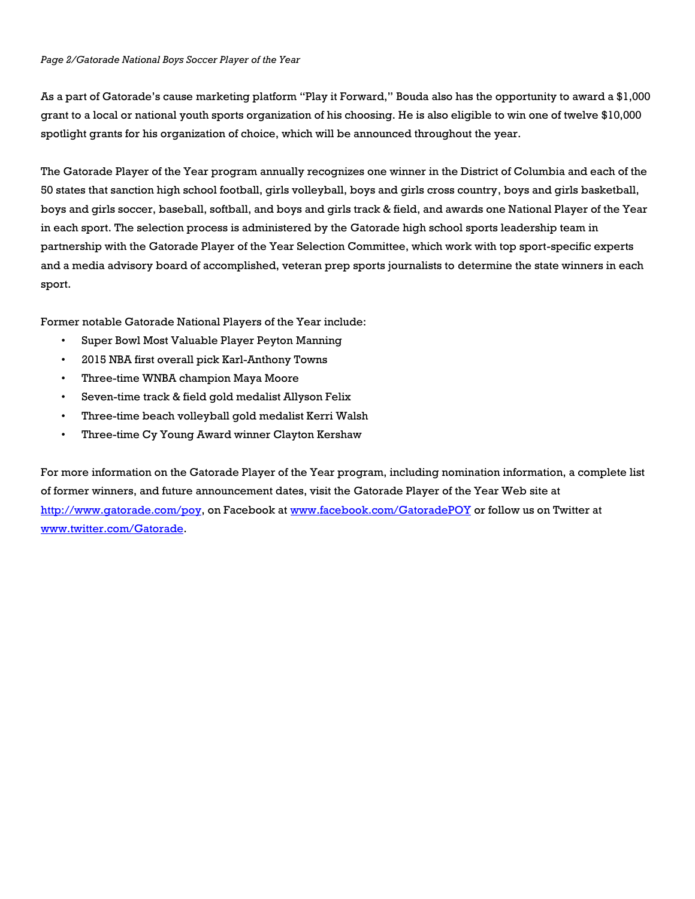## *Page 2/Gatorade National Boys Soccer Player of the Year*

As a part of Gatorade's cause marketing platform "Play it Forward," Bouda also has the opportunity to award a \$1,000 grant to a local or national youth sports organization of his choosing. He is also eligible to win one of twelve \$10,000 spotlight grants for his organization of choice, which will be announced throughout the year.

The Gatorade Player of the Year program annually recognizes one winner in the District of Columbia and each of the 50 states that sanction high school football, girls volleyball, boys and girls cross country, boys and girls basketball, boys and girls soccer, baseball, softball, and boys and girls track & field, and awards one National Player of the Year in each sport. The selection process is administered by the Gatorade high school sports leadership team in partnership with the Gatorade Player of the Year Selection Committee, which work with top sport-specific experts and a media advisory board of accomplished, veteran prep sports journalists to determine the state winners in each sport.

Former notable Gatorade National Players of the Year include:

- Super Bowl Most Valuable Player Peyton Manning
- 2015 NBA first overall pick Karl-Anthony Towns
- Three-time WNBA champion Maya Moore
- Seven-time track & field gold medalist Allyson Felix
- Three-time beach volleyball gold medalist Kerri Walsh
- Three-time Cy Young Award winner Clayton Kershaw

For more information on the Gatorade Player of the Year program, including nomination information, a complete list of former winners, and future announcement dates, visit the Gatorade Player of the Year Web site at [http://www.gatorade.com/poy,](http://www.gatorade.com/poy) on Facebook at [www.facebook.com/GatoradePOY](http://www.facebook.com/GatoradePOY) or follow us on Twitter at [www.twitter.com/Gatorade.](http://www.twitter.com/Gatorade)